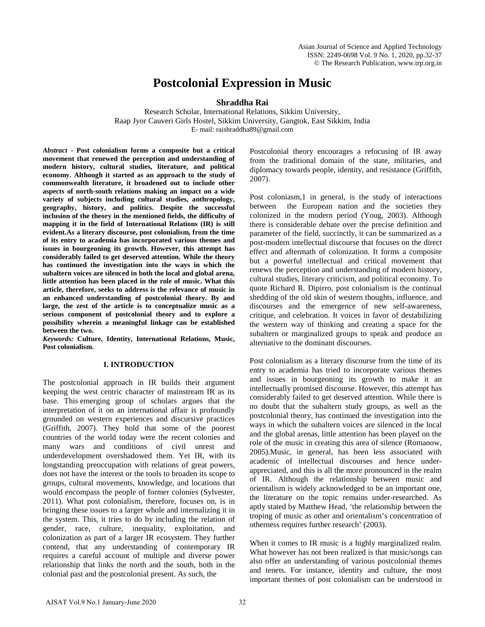# **Postcolonial Expression in Music**

**Shraddha Rai**

Research Scholar, International Relations, Sikkim University, Raap Jyor Cauveri Girls Hostel, Sikkim University, Gangtok, East Sikkim, India E- mail: raishraddha89@gmail.com

*Abstract -* **Post colonialism forms a composite but a critical movement that renewed the perception and understanding of modern history, cultural studies, literature, and political economy. Although it started as an approach to the study of commonwealth literature, it broadened out to include other aspects of north-south relations making an impact on a wide variety of subjects including cultural studies, anthropology, geography, history, and politics. Despite the successful inclusion of the theory in the mentioned fields, the difficulty of mapping it in the field of International Relations (IR) is still evident.As a literary discourse, post colonialism, from the time of its entry to academia has incorporated various themes and issues in bourgeoning its growth. However, this attempt has considerably failed to get deserved attention. While the theory has continued the investigation into the ways in which the subaltern voices are silenced in both the local and global arena, little attention has been placed in the role of music. What this article, therefore, seeks to address is the relevance of music in an enhanced understanding of postcolonial theory. By and large, the zest of the article is to conceptualize music as a serious component of postcolonial theory and to explore a possibility wherein a meaningful linkage can be established between the two.**

*Keywords:* **Culture, Identity, International Relations, Music, Post colonialism.**

# **I. INTRODUCTION**

The postcolonial approach in IR builds their argument keeping the west centric character of mainstream IR as its base. This emerging group of scholars argues that the interpretation of it on an international affair is profoundly grounded on western experiences and discursive practices (Griffith, 2007). They hold that some of the poorest countries of the world today were the recent colonies and many wars and conditions of civil unrest and underdevelopment overshadowed them. Yet IR, with its longstanding preoccupation with relations of great powers, does not have the interest or the tools to broaden its scope to groups, cultural movements, knowledge, and locations that would encompass the people of former colonies (Sylvester, 2011). What post colonialism, therefore, focuses on, is in bringing these issues to a larger whole and internalizing it in the system. This, it tries to do by including the relation of gender, race, culture, inequality, exploitation, and colonization as part of a larger IR ecosystem. They further contend, that any understanding of contemporary IR requires a careful account of multiple and diverse power relationship that links the north and the south, both in the colonial past and the postcolonial present. As such, the

Postcolonial theory encourages a refocusing of IR away from the traditional domain of the state, militaries, and diplomacy towards people, identity, and resistance (Griffith, 2007).

Post coloniasm,1 in general, is the study of interactions between the European nation and the societies they colonized in the modern period (Youg, 2003). Although there is considerable debate over the precise definition and parameter of the field, succinctly, it can be summarized as a post-modern intellectual discourse that focuses on the direct effect and aftermath of colonization. It forms a composite but a powerful intellectual and critical movement that renews the perception and understanding of modern history, cultural studies, literary criticism, and political economy. To quote Richard R. Dipirro, post colonialism is the continual shedding of the old skin of western thoughts, influence, and discourses and the emergence of new self-awareness, critique, and celebration. It voices in favor of destabilizing the western way of thinking and creating a space for the subaltern or marginalized groups to speak and produce an alternative to the dominant discourses.

Post colonialism as a literary discourse from the time of its entry to academia has tried to incorporate various themes and issues in bourgeoning its growth to make it an intellectually promised discourse. However, this attempt has considerably failed to get deserved attention. While there is no doubt that the subaltern study groups, as well as the postcolonial theory, has continued the investigation into the ways in which the subaltern voices are silenced in the local and the global arenas, little attention has been played on the role of the music in creating this area of silence (Romanow, 2005).Music, in general, has been less associated with academic of intellectual discourses and hence underappreciated, and this is all the more pronounced in the realm of IR. Although the relationship between music and orientalism is widely acknowledged to be an important one, the literature on the topic remains under-researched. As aptly stated by Matthew Head, 'the relationship between the troping of music as other and orientalism's concentration of otherness requires further research' (2003).

When it comes to IR music is a highly marginalized realm. What however has not been realized is that music/songs can also offer an understanding of various postcolonial themes and tenets. For instance, identity and culture, the most important themes of post colonialism can be understood in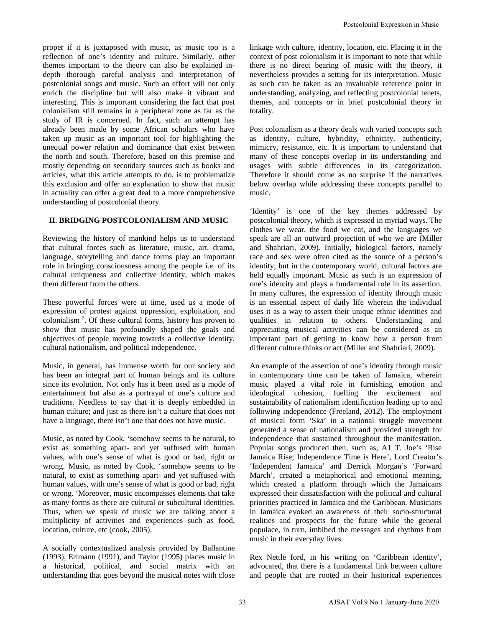proper if it is juxtaposed with music, as music too is a reflection of one's identity and culture. Similarly, other themes important to the theory can also be explained indepth thorough careful analysis and interpretation of postcolonial songs and music. Such an effort will not only enrich the discipline but will also make it vibrant and interesting. This is important considering the fact that post colonialism still remains in a peripheral zone as far as the study of IR is concerned. In fact, such an attempt has already been made by some African scholars who have taken up music as an important tool for highlighting the unequal power relation and dominance that exist between the north and south. Therefore, based on this premise and mostly depending on secondary sources such as books and articles, what this article attempts to do, is to problematize this exclusion and offer an explanation to show that music in actuality can offer a great deal to a more comprehensive understanding of postcolonial theory.

### **II. BRIDGING POSTCOLONIALISM AND MUSIC**

Reviewing the history of mankind helps us to understand that cultural forces such as literature, music, art, drama, language, storytelling and dance forms play an important role in bringing consciousness among the people i.e. of its cultural uniqueness and collective identity, which makes them different from the others.

These powerful forces were at time, used as a mode of expression of protest against oppression, exploitation, and colonialism<sup>2</sup>. Of these cultural forms, history has proven to show that music has profoundly shaped the goals and objectives of people moving towards a collective identity, cultural nationalism, and political independence.

Music, in general, has immense worth for our society and has been an integral part of human beings and its culture since its evolution. Not only has it been used as a mode of entertainment but also as a portrayal of one's culture and traditions. Needless to say that it is deeply embedded in human culture; and just as there isn't a culture that does not have a language, there isn't one that does not have music.

Music, as noted by Cook, 'somehow seems to be natural, to exist as something apart- and yet suffused with human values, with one's sense of what is good or bad, right or wrong. Music, as noted by Cook, 'somehow seems to be natural, to exist as something apart- and yet suffused with human values, with one's sense of what is good or bad, right or wrong. 'Moreover, music encompasses elements that take as many forms as there are cultural or subcultural identities. Thus, when we speak of music we are talking about a multiplicity of activities and experiences such as food, location, culture, etc (cook, 2005).

A socially contextualized analysis provided by Ballantine (1993), Erlmann (1991), and Taylor (1995) places music in a historical, political, and social matrix with an understanding that goes beyond the musical notes with close linkage with culture, identity, location, etc. Placing it in the context of post colonialism it is important to note that while there is no direct bearing of music with the theory, it nevertheless provides a setting for its interpretation. Music as such can be taken as an invaluable reference point in understanding, analyzing, and reflecting postcolonial tenets, themes, and concepts or in brief postcolonial theory in totality.

Post colonialism as a theory deals with varied concepts such as identity, culture, hybridity, ethnicity, authenticity, mimicry, resistance, etc. It is important to understand that many of these concepts overlap in its understanding and usages with subtle differences in its categorization. Therefore it should come as no surprise if the narratives below overlap while addressing these concepts parallel to music.

'Identity' is one of the key themes addressed by postcolonial theory, which is expressed in myriad ways. The clothes we wear, the food we eat, and the languages we speak are all an outward projection of who we are (Miller and Shahriari, 2009). Initially, biological factors, namely race and sex were often cited as the source of a person's identity; but in the contemporary world, cultural factors are held equally important. Music as such is an expression of one's identity and plays a fundamental role in its assertion. In many cultures, the expression of identity through music is an essential aspect of daily life wherein the individual uses it as a way to assert their unique ethnic identities and qualities in relation to others. Understanding and appreciating musical activities can be considered as an important part of getting to know how a person from different culture thinks or act (Miller and Shahriari, 2009).

An example of the assertion of one's identity through music in contemporary time can be taken of Jamaica, wherein music played a vital role in furnishing emotion and ideological cohesion, fuelling the excitement and sustainability of nationalism identification leading up to and following independence (Freeland, 2012). The employment of musical form 'Ska' in a national struggle movement generated a sense of nationalism and provided strength for independence that sustained throughout the manifestation. Popular songs produced then, such as, A1 T. Joe's 'Rise Jamaica Rise; Independence Time is Here', Lord Creator's 'Independent Jamaica' and Derrick Morgan's 'Forward March', created a metaphorical and emotional meaning, which created a platform through which the Jamaicans expressed their dissatisfaction with the political and cultural priorities practiced in Jamaica and the Caribbean. Musicians in Jamaica evoked an awareness of their socio-structural realities and prospects for the future while the general populace, in turn, imbibed the messages and rhythms from music in their everyday lives. Postolonial Expression in Music<br>connect of port colonialism it is important to note that which<br>connect of port colonialism it is important to note that which<br>there is no direct beating of music with the those of<br>measurable

Rex Nettle ford, in his writing on 'Caribbean identity', advocated, that there is a fundamental link between culture and people that are rooted in their historical experiences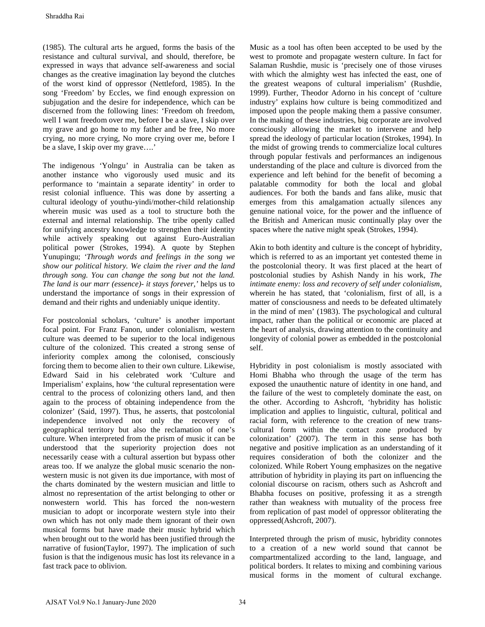(1985). The cultural arts he argued, forms the basis of the resistance and cultural survival, and should, therefore, be expressed in ways that advance self-awareness and social changes as the creative imagination lay beyond the clutches of the worst kind of oppressor (Nettleford, 1985). In the song 'Freedom' by Eccles, we find enough expression on subjugation and the desire for independence, which can be discerned from the following lines: 'Freedom oh freedom, well I want freedom over me, before I be a slave, I skip over my grave and go home to my father and be free, No more crying, no more crying, No more crying over me, before I be a slave, I skip over my grave….'

The indigenous 'Yolngu' in Australia can be taken as another instance who vigorously used music and its performance to 'maintain a separate identity' in order to resist colonial influence. This was done by asserting a cultural ideology of youthu-yindi/mother-child relationship wherein music was used as a tool to structure both the external and internal relationship. The tribe openly called for unifying ancestry knowledge to strengthen their identity while actively speaking out against Euro-Australian political power (Strokes, 1994). A quote by Stephen Yunupingu; *'Through words and feelings in the song we show our political history. We claim the river and the land through song. You can change the song but not the land. The land is our marr (essence)- it stays forever,'* helps us to understand the importance of songs in their expression of demand and their rights and undeniably unique identity.

For postcolonial scholars, 'culture' is another important focal point. For Franz Fanon, under colonialism, western culture was deemed to be superior to the local indigenous culture of the colonized. This created a strong sense of inferiority complex among the colonised, consciously forcing them to become alien to their own culture. Likewise, Edward Said in his celebrated work 'Culture and Imperialism' explains, how 'the cultural representation were central to the process of colonizing others land, and then again to the process of obtaining independence from the colonizer' (Said, 1997). Thus, he asserts, that postcolonial independence involved not only the recovery of geographical territory but also the reclamation of one's culture. When interpreted from the prism of music it can be understood that the superiority projection does not necessarily cease with a cultural assertion but bypass other areas too. If we analyze the global music scenario the nonwestern music is not given its due importance, with most of the charts dominated by the western musician and little to almost no representation of the artist belonging to other or nonwestern world. This has forced the non-western musician to adopt or incorporate western style into their own which has not only made them ignorant of their own musical forms but have made their music hybrid which when brought out to the world has been justified through the narrative of fusion(Taylor, 1997). The implication of such fusion is that the indigenous music has lost its relevance in a fast track pace to oblivion. Shraddha Rai<br>
1985). The cultural arts he argued, forms the hasis of the<br>
1985). The cultural artist he argued, forms the basis of the<br>
signessesd in ways that advance aclid anoid), therefore, be<br>
signessesd in ways that

Music as a tool has often been accepted to be used by the west to promote and propagate western culture. In fact for Salaman Rushdie, music is 'precisely one of those viruses with which the almighty west has infected the east, one of the greatest weapons of cultural imperialism' (Rushdie, 1999). Further, Theodor Adorno in his concept of 'culture industry' explains how culture is being commoditized and imposed upon the people making them a passive consumer. In the making of these industries, big corporate are involved consciously allowing the market to intervene and help spread the ideology of particular location (Strokes, 1994). In the midst of growing trends to commercialize local cultures through popular festivals and performances an indigenous understanding of the place and culture is divorced from the experience and left behind for the benefit of becoming a palatable commodity for both the local and global audiences. For both the bands and fans alike, music that emerges from this amalgamation actually silences any genuine national voice, for the power and the influence of the British and American music continually play over the spaces where the native might speak (Strokes, 1994).

Akin to both identity and culture is the concept of hybridity, which is referred to as an important yet contested theme in the postcolonial theory. It was first placed at the heart of postcolonial studies by Ashish Nandy in his work, *The intimate enemy: loss and recovery of self under colonialism*, wherein he has stated, that 'colonialism, first of all, is a matter of consciousness and needs to be defeated ultimately in the mind of men' (1983). The psychological and cultural impact, rather than the political or economic are placed at the heart of analysis, drawing attention to the continuity and longevity of colonial power as embedded in the postcolonial self.

Hybridity in post colonialism is mostly associated with Homi Bhabha who through the usage of the term has exposed the unauthentic nature of identity in one hand, and the failure of the west to completely dominate the east, on the other. According to Ashcroft, 'hybridity has holistic implication and applies to linguistic, cultural, political and racial form, with reference to the creation of new transcultural form within the contact zone produced by colonization' (2007). The term in this sense has both negative and positive implication as an understanding of it requires consideration of both the colonizer and the colonized. While Robert Young emphasizes on the negative attribution of hybridity in playing its part on influencing the colonial discourse on racism, others such as Ashcroft and Bhabha focuses on positive, professing it as a strength rather than weakness with mutuality of the process free from replication of past model of oppressor obliterating the oppressed(Ashcroft, 2007).

Interpreted through the prism of music, hybridity connotes to a creation of a new world sound that cannot be compartmentalized according to the land, language, and political borders. It relates to mixing and combining various musical forms in the moment of cultural exchange.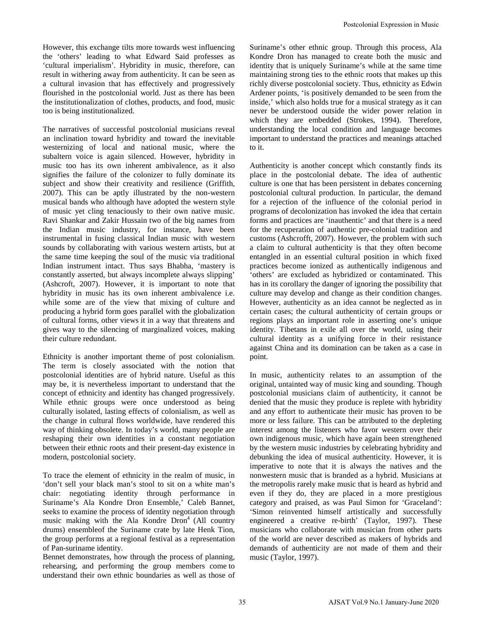However, this exchange tilts more towards west influencing the 'others' leading to what Edward Said professes as 'cultural imperialism'. Hybridity in music, therefore, can result in withering away from authenticity. It can be seen as a cultural invasion that has effectively and progressively flourished in the postcolonial world. Just as there has been the institutionalization of clothes, products, and food, music too is being institutionalized.

The narratives of successful postcolonial musicians reveal an inclination toward hybridity and toward the inevitable westernizing of local and national music, where the subaltern voice is again silenced. However, hybridity in music too has its own inherent ambivalence, as it also signifies the failure of the colonizer to fully dominate its subject and show their creativity and resilience (Griffith, 2007). This can be aptly illustrated by the non-western musical bands who although have adopted the western style of music yet cling tenaciously to their own native music. Ravi Shankar and Zakir Hussain two of the big names from the Indian music industry, for instance, have been instrumental in fusing classical Indian music with western sounds by collaborating with various western artists, but at the same time keeping the soul of the music via traditional Indian instrument intact. Thus says Bhabha, 'mastery is constantly asserted, but always incomplete always slipping' (Ashcroft, 2007). However, it is important to note that hybridity in music has its own inherent ambivalence i.e. while some are of the view that mixing of culture and producing a hybrid form goes parallel with the globalization of cultural forms, other views it in a way that threatens and gives way to the silencing of marginalized voices, making their culture redundant.

Ethnicity is another important theme of post colonialism. The term is closely associated with the notion that postcolonial identities are of hybrid nature. Useful as this may be, it is nevertheless important to understand that the concept of ethnicity and identity has changed progressively. While ethnic groups were once understood as being culturally isolated, lasting effects of colonialism, as well as the change in cultural flows worldwide, have rendered this way of thinking obsolete. In today's world, many people are reshaping their own identities in a constant negotiation between their ethnic roots and their present-day existence in modern, postcolonial society.

To trace the element of ethnicity in the realm of music, in 'don't sell your black man's stool to sit on a white man's chair: negotiating identity through performance in Suriname's Ala Kondre Dron Ensemble,' Caleb Bannet, seeks to examine the process of identity negotiation through music making with the Ala Kondre  $Dron<sup>4</sup>$  (All country drums) ensembleof the Suriname crate by late Henk Tion, the group performs at a regional festival as a representation of Pan-suriname identity.

Bennet demonstrates, how through the process of planning, rehearsing, and performing the group members come to understand their own ethnic boundaries as well as those of Suriname's other ethnic group. Through this process, Ala Kondre Dron has managed to create both the music and identity that is uniquely Suriname's while at the same time maintaining strong ties to the ethnic roots that makes up this richly diverse postcolonial society. Thus, ethnicity as Edwin Ardener points, 'is positively demanded to be seen from the inside,' which also holds true for a musical strategy as it can never be understood outside the wider power relation in which they are embedded (Strokes, 1994). Therefore, understanding the local condition and language becomes important to understand the practices and meanings attached to it.

Authenticity is another concept which constantly finds its place in the postcolonial debate. The idea of authentic culture is one that has been persistent in debates concerning postcolonial cultural production. In particular, the demand for a rejection of the influence of the colonial period in programs of decolonization has invoked the idea that certain forms and practices are 'inauthentic' and that there is a need for the recuperation of authentic pre-colonial tradition and customs (Ashcrofft, 2007). However, the problem with such a claim to cultural authenticity is that they often become entangled in an essential cultural position in which fixed practices become ionized as authentically indigenous and 'others' are excluded as hybridized or contaminated. This has in its corollary the danger of ignoring the possibility that culture may develop and change as their condition changes. However, authenticity as an idea cannot be neglected as in certain cases; the cultural authenticity of certain groups or regions plays an important role in asserting one's unique identity. Tibetans in exile all over the world, using their cultural identity as a unifying force in their resistance against China and its domination can be taken as a case in point. Postcolonial Expression in Music<br>Normane's other ethnic groon. Through this process, All<br>Solity Kondre Drow has managed to create both the runsic in<br>animating strong ties to the centric both the music in<br>animating strong t

In music, authenticity relates to an assumption of the original, untainted way of music king and sounding. Though postcolonial musicians claim of authenticity, it cannot be denied that the music they produce is replete with hybridity and any effort to authenticate their music has proven to be more or less failure. This can be attributed to the depleting interest among the listeners who favor western over their own indigenous music, which have again been strengthened by the western music industries by celebrating hybridity and debunking the idea of musical authenticity. However, it is imperative to note that it is always the natives and the nonwestern music that is branded as a hybrid. Musicians at the metropolis rarely make music that is heard as hybrid and even if they do, they are placed in a more prestigious category and praised, as was Paul Simon for 'Graceland': 'Simon reinvented himself artistically and successfully engineered a creative re-birth' (Taylor, 1997). These musicians who collaborate with musician from other parts of the world are never described as makers of hybrids and demands of authenticity are not made of them and their music (Taylor, 1997).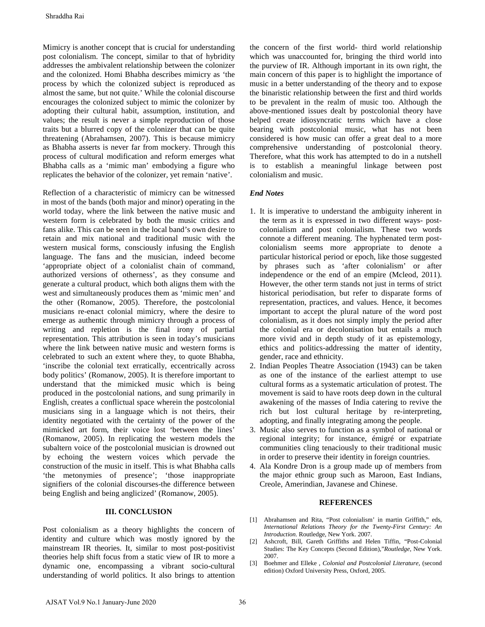Mimicry is another concept that is crucial for understanding post colonialism. The concept, similar to that of hybridity addresses the ambivalent relationship between the colonizer and the colonized. Homi Bhabha describes mimicry as 'the process by which the colonized subject is reproduced as almost the same, but not quite.' While the colonial discourse encourages the colonized subject to mimic the colonizer by adopting their cultural habit, assumption, institution, and values; the result is never a simple reproduction of those traits but a blurred copy of the colonizer that can be quite threatening (Abrahamsen, 2007). This is because mimicry as Bhabha asserts is never far from mockery. Through this process of cultural modification and reform emerges what Bhabha calls as a 'mimic man' embodying a figure who replicates the behavior of the colonizer, yet remain 'native'.

Reflection of a characteristic of mimicry can be witnessed in most of the bands (both major and minor) operating in the world today, where the link between the native music and western form is celebrated by both the music critics and fans alike. This can be seen in the local band's own desire to retain and mix national and traditional music with the western musical forms, consciously infusing the English language. The fans and the musician, indeed become 'appropriate object of a colonialist chain of command, authorized versions of otherness', as they consume and generate a cultural product, which both aligns them with the west and simultaneously produces them as 'mimic men' and the other (Romanow, 2005). Therefore, the postcolonial musicians re-enact colonial mimicry, where the desire to emerge as authentic through mimicry through a process of writing and repletion is the final irony of partial representation. This attribution is seen in today's musicians where the link between native music and western forms is celebrated to such an extent where they, to quote Bhabha, 'inscribe the colonial text erratically, eccentrically across body politics' (Romanow, 2005). It is therefore important to understand that the mimicked music which is being produced in the postcolonial nations, and sung primarily in English, creates a conflictual space wherein the postcolonial musicians sing in a language which is not theirs, their identity negotiated with the certainty of the power of the mimicked art form, their voice lost 'between the lines' (Romanow, 2005). In replicating the western models the subaltern voice of the postcolonial musician is drowned out by echoing the western voices which pervade the construction of the music in itself. This is what Bhabha calls 'the metonymies of presence'; 'those inappropriate signifiers of the colonial discourses-the difference between being English and being anglicized' (Romanow, 2005). Shraddha Rai<br>
Shraddha Rai<br>
Mimicry is another concept that is crucial for understanding<br>
ostical didresses the ambivalent relationship between the colonizer<br>
didresses the ambivalent relationship between the colonizer<br>
d

## **III. CONCLUSION**

Post colonialism as a theory highlights the concern of identity and culture which was mostly ignored by the mainstream IR theories. It, similar to most post-positivist theories help shift focus from a static view of IR to more a dynamic one, encompassing a vibrant socio-cultural understanding of world politics. It also brings to attention

the concern of the first world- third world relationship which was unaccounted for, bringing the third world into the purview of IR. Although important in its own right, the main concern of this paper is to highlight the importance of music in a better understanding of the theory and to expose the binaristic relationship between the first and third worlds to be prevalent in the realm of music too. Although the above-mentioned issues dealt by postcolonial theory have helped create idiosyncratic terms which have a close bearing with postcolonial music, what has not been considered is how music can offer a great deal to a more comprehensive understanding of postcolonial theory. Therefore, what this work has attempted to do in a nutshell is to establish a meaningful linkage between post colonialism and music.

### *End Notes*

- 1. It is imperative to understand the ambiguity inherent in the term as it is expressed in two different ways- postcolonialism and post colonialism. These two words connote a different meaning. The hyphenated term postcolonialism seems more appropriate to denote a particular historical period or epoch, like those suggested by phrases such as 'after colonialism' or after independence or the end of an empire (Mcleod, 2011). However, the other term stands not just in terms of strict historical periodisation, but refer to disparate forms of representation, practices, and values. Hence, it becomes important to accept the plural nature of the word post colonialism, as it does not simply imply the period after the colonial era or decolonisation but entails a much more vivid and in depth study of it as epistemology, ethics and politics-addressing the matter of identity, gender, race and ethnicity.
- 2. Indian Peoples Theatre Association (1943) can be taken as one of the instance of the earliest attempt to use cultural forms as a systematic articulation of protest. The movement is said to have roots deep down in the cultural awakening of the masses of India catering to revive the rich but lost cultural heritage by re-interpreting, adopting, and finally integrating among the people.
- 3. Music also serves to function as a symbol of national or regional integrity; for instance, émigré or expatriate communities cling tenaciously to their traditional music in order to preserve their identity in foreign countries.
- 4. Ala Kondre Dron is a group made up of members from the major ethnic group such as Maroon, East Indians, Creole, Amerindian, Javanese and Chinese.

#### **REFERENCES**

- [1] Abrahamsen and Rita, "Post colonialism' in martin Griffith," eds, *International Relations Theory for the Twenty-First Century: An Introduction.* Routledge, New York. 2007.
- [2] Ashcroft, Bill, Gareth Griffiths and Helen Tiffin, "Post-Colonial Studies: The Key Concepts (Second Edition),"*Routledge*, New York. 2007.
- [3] Boehmer and Elleke , *Colonial and Postcolonial Literature,* (second edition) Oxford University Press, Oxford, 2005.